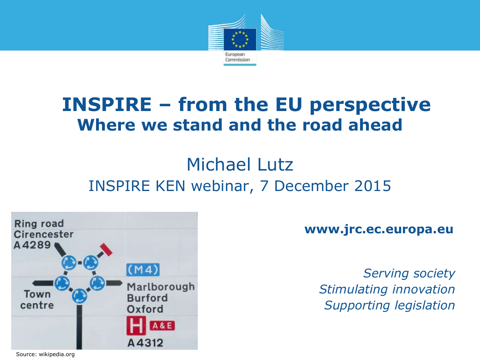

### **INSPIRE – from the EU perspective Where we stand and the road ahead**

#### Michael Lutz INSPIRE KEN webinar, 7 December 2015



**www.jrc.ec.europa.eu**

*Serving society Stimulating innovation Supporting legislation*

Source: wikipedia.org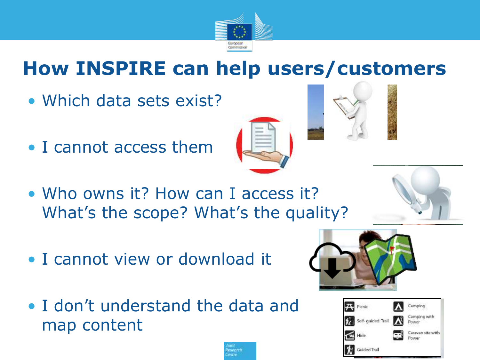

# **How INSPIRE can help users/customers**

- Which data sets exist?
- I cannot access them
- Who owns it? How can I access it? What's the scope? What's the quality?
- I cannot view or download it
- I don't understand the data and map content











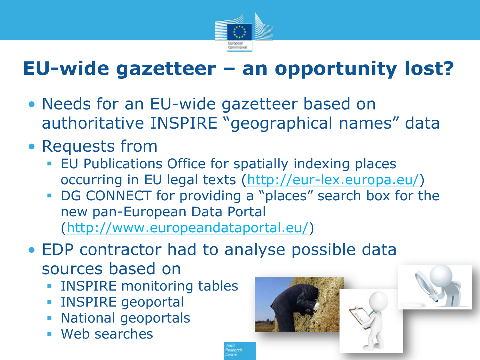

# **EU-wide gazetteer – an opportunity lost?**

- Needs for an EU-wide gazetteer based on authoritative INSPIRE "geographical names" data
- Requests from
	- **EU Publications Office for spatially indexing places** occurring in EU legal texts (<http://eur-lex.europa.eu/>)
	- DG CONNECT for providing a "places" search box for the new pan-European Data Portal ([http://www.europeandataportal.eu/\)](http://www.europeandataportal.eu/)
- EDP contractor had to analyse possible data sources based on
	- **INSPIRE monitoring tables**
	- **INSPIRE geoportal**
	- **National geoportals**
	- Web searches

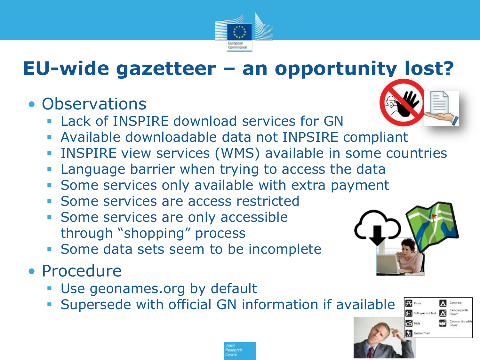

# **EU-wide gazetteer – an opportunity lost?**

#### • Observations

- Lack of INSPIRE download services for GN
- Available downloadable data not INPSIRE compliant
- INSPIRE view services (WMS) available in some countries
- Language barrier when trying to access the data
- **Some services only available with extra payment**
- **Some services are access restricted**
- **Some services are only accessible** through "shopping" process
- Some data sets seem to be incomplete

#### • Procedure

- **Use geonames.org by default**
- **Supersede with official GN information if available**







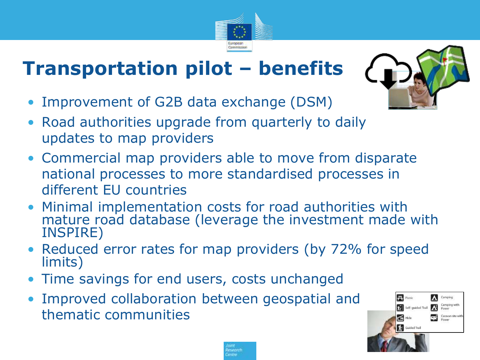# **Transportation pilot – benefits**

- Improvement of G2B data exchange (DSM)
- Road authorities upgrade from quarterly to daily updates to map providers
- Commercial map providers able to move from disparate national processes to more standardised processes in different EU countries
- Minimal implementation costs for road authorities with mature road database (leverage the investment made with INSPIRE)
- Reduced error rates for map providers (by 72% for speed limits)
- Time savings for end users, costs unchanged
- Improved collaboration between geospatial and thematic communities







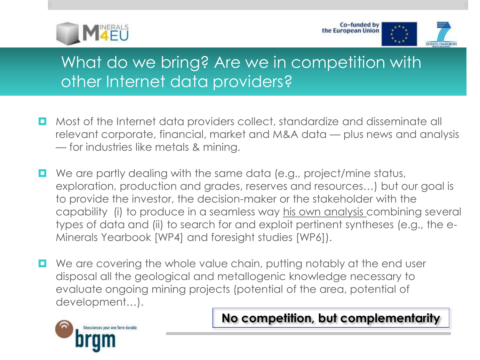



#### What do we bring? Are we in competition with other Internet data providers?

- **D** Most of the Internet data providers collect, standardize and disseminate all relevant corporate, financial, market and M&A data — plus news and analysis — for industries like metals & mining.
- $\Box$  We are partly dealing with the same data (e.g., project/mine status, exploration, production and grades, reserves and resources…) but our goal is to provide the investor, the decision-maker or the stakeholder with the capability (i) to produce in a seamless way his own analysis combining several types of data and (ii) to search for and exploit pertinent syntheses (e.g., the e-Minerals Yearbook [WP4] and foresight studies [WP6]).
- We are covering the whole value chain, putting notably at the end user disposal all the geological and metallogenic knowledge necessary to evaluate ongoing mining projects (potential of the area, potential of development…).



**No competition, but complementarity**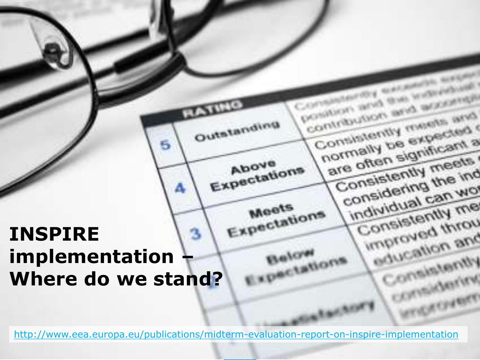## Expectations **INSPIRE implementation – Where do we stand?**

6

<http://www.eea.europa.eu/publications/midterm-evaluation-report-on-inspire-implementation>

Outstanding

Aboye Expectations

Meets

Below

enotations

all 1

Contribution and management

Consistently needs and

normally be expected

are often significant a

Consistently meets

consistently me ind

individual can wo

Consistently me

unproved throu

education and

Consistently

cansidering

Cyantry

position and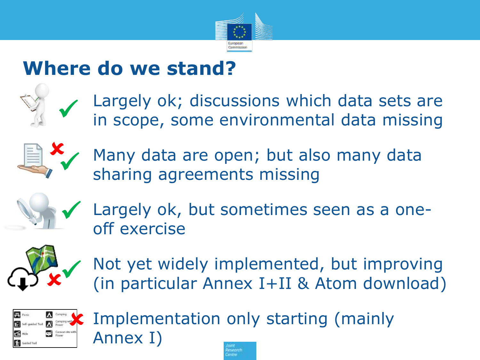

# **Where do we stand?**



Largely ok; discussions which data sets are in scope, some environmental data missing



Many data are open; but also many data sharing agreements missing



Largely ok, but sometimes seen as a oneoff exercise



Not yet widely implemented, but improving (in particular Annex I+II & Atom download)



Implementation only starting (mainly Annex I)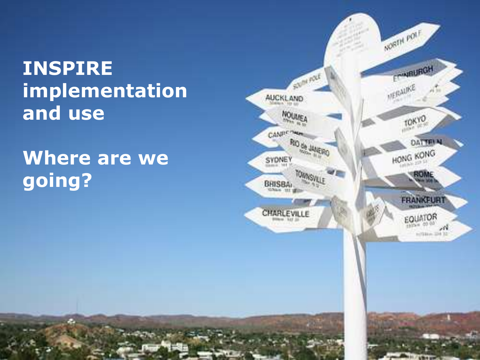# **INSPIRE implementation and use**

# **Where are we going?**

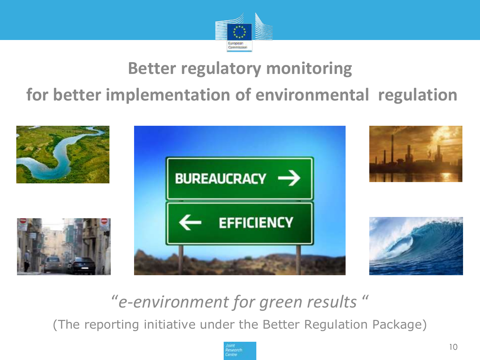

#### **Better regulatory monitoring**

#### **for better implementation of environmental regulation**



### "*e-environment for green results* "

(The reporting initiative under the Better Regulation Package)